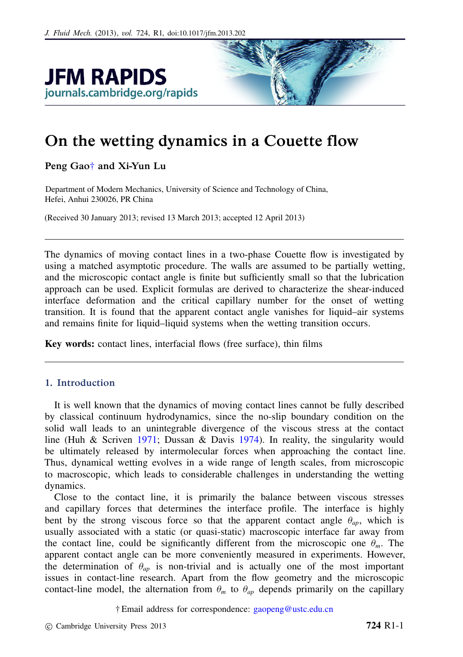

# On the wetting dynamics in a Couette flow

Peng Gao[†](#page-0-0) and Xi-Yun Lu

Department of Modern Mechanics, University of Science and Technology of China, Hefei, Anhui 230026, PR China

(Received 30 January 2013; revised 13 March 2013; accepted 12 April 2013)

The dynamics of moving contact lines in a two-phase Couette flow is investigated by using a matched asymptotic procedure. The walls are assumed to be partially wetting, and the microscopic contact angle is finite but sufficiently small so that the lubrication approach can be used. Explicit formulas are derived to characterize the shear-induced interface deformation and the critical capillary number for the onset of wetting transition. It is found that the apparent contact angle vanishes for liquid–air systems and remains finite for liquid–liquid systems when the wetting transition occurs.

Key words: contact lines, interfacial flows (free surface), thin films

# 1. Introduction

It is well known that the dynamics of moving contact lines cannot be fully described by classical continuum hydrodynamics, since the no-slip boundary condition on the solid wall leads to an unintegrable divergence of the viscous stress at the contact line (Huh & Scriven 1971; Dussan & Davis 1974). In reality, the singularity would be ultimately released by intermolecular forces when approaching the contact line. Thus, dynamical wetting evolves in a wide range of length scales, from microscopic to macroscopic, which leads to considerable challenges in understanding the wetting dynamics.

Close to the contact line, it is primarily the balance between viscous stresses and capillary forces that determines the interface profile. The interface is highly bent by the strong viscous force so that the apparent contact angle  $\theta_{ap}$ , which is usually associated with a static (or quasi-static) macroscopic interface far away from the contact line, could be significantly different from the microscopic one  $\theta_m$ . The apparent contact angle can be more conveniently measured in experiments. However, the determination of  $\theta_{ap}$  is non-trivial and is actually one of the most important issues in contact-line research. Apart from the flow geometry and the microscopic contact-line model, the alternation from  $\theta_m$  to  $\theta_{ap}$  depends primarily on the capillary

<span id="page-0-0"></span>† Email address for correspondence: [gaopeng@ustc.edu.cn](mailto:gaopeng@ustc.edu.cn)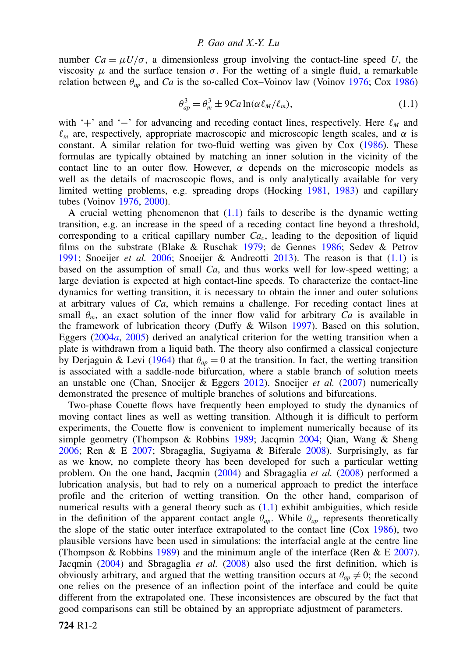number  $Ca = \mu U/\sigma$ , a dimensionless group involving the contact-line speed *U*, the viscosity  $\mu$  and the surface tension  $\sigma$ . For the wetting of a single fluid, a remarkable relation between  $\theta_{ap}$  and *Ca* is the so-called Cox–Voinov law (Voinov 1976; Cox 1986)

<span id="page-1-0"></span>
$$
\theta_{ap}^3 = \theta_m^3 \pm 9Ca \ln(\alpha \ell_M/\ell_m), \qquad (1.1)
$$

with '+' and '−' for advancing and receding contact lines, respectively. Here  $\ell_M$  and  $\ell_m$  are, respectively, appropriate macroscopic and microscopic length scales, and  $\alpha$  is constant. A similar relation for two-fluid wetting was given by Cox (1986). These formulas are typically obtained by matching an inner solution in the vicinity of the contact line to an outer flow. However,  $\alpha$  depends on the microscopic models as well as the details of macroscopic flows, and is only analytically available for very limited wetting problems, e.g. spreading drops (Hocking 1981, 1983) and capillary tubes (Voinov 1976, 2000).

A crucial wetting phenomenon that  $(1.1)$  fails to describe is the dynamic wetting transition, e.g. an increase in the speed of a receding contact line beyond a threshold, corresponding to a critical capillary number *Ca<sup>c</sup>* , leading to the deposition of liquid films on the substrate (Blake & Ruschak 1979; de Gennes 1986; Sedev & Petrov 1991; Snoeijer *et al.* 2006; Snoeijer & Andreotti 2013). The reason is that [\(1.1\)](#page-1-0) is based on the assumption of small *Ca*, and thus works well for low-speed wetting; a large deviation is expected at high contact-line speeds. To characterize the contact-line dynamics for wetting transition, it is necessary to obtain the inner and outer solutions at arbitrary values of *Ca*, which remains a challenge. For receding contact lines at small  $\theta_m$ , an exact solution of the inner flow valid for arbitrary *Ca* is available in the framework of lubrication theory (Duffy & Wilson 1997). Based on this solution, Eggers (2004*a*, 2005) derived an analytical criterion for the wetting transition when a plate is withdrawn from a liquid bath. The theory also confirmed a classical conjecture by Derjaguin & Levi (1964) that  $\theta_{ap} = 0$  at the transition. In fact, the wetting transition is associated with a saddle-node bifurcation, where a stable branch of solution meets an unstable one (Chan, Snoeijer & Eggers 2012). Snoeijer *et al.* (2007) numerically demonstrated the presence of multiple branches of solutions and bifurcations.

Two-phase Couette flows have frequently been employed to study the dynamics of moving contact lines as well as wetting transition. Although it is difficult to perform experiments, the Couette flow is convenient to implement numerically because of its simple geometry (Thompson & Robbins 1989; Jacqmin 2004; Qian, Wang & Sheng 2006; Ren & E 2007; Sbragaglia, Sugiyama & Biferale 2008). Surprisingly, as far as we know, no complete theory has been developed for such a particular wetting problem. On the one hand, Jacqmin (2004) and Sbragaglia *et al.* (2008) performed a lubrication analysis, but had to rely on a numerical approach to predict the interface profile and the criterion of wetting transition. On the other hand, comparison of numerical results with a general theory such as [\(1.1\)](#page-1-0) exhibit ambiguities, which reside in the definition of the apparent contact angle  $\theta_{ap}$ . While  $\theta_{ap}$  represents theoretically the slope of the static outer interface extrapolated to the contact line (Cox 1986), two plausible versions have been used in simulations: the interfacial angle at the centre line (Thompson & Robbins 1989) and the minimum angle of the interface (Ren & E 2007). Jacqmin (2004) and Sbragaglia *et al.* (2008) also used the first definition, which is obviously arbitrary, and argued that the wetting transition occurs at  $\theta_{ap} \neq 0$ ; the second one relies on the presence of an inflection point of the interface and could be quite different from the extrapolated one. These inconsistences are obscured by the fact that good comparisons can still be obtained by an appropriate adjustment of parameters.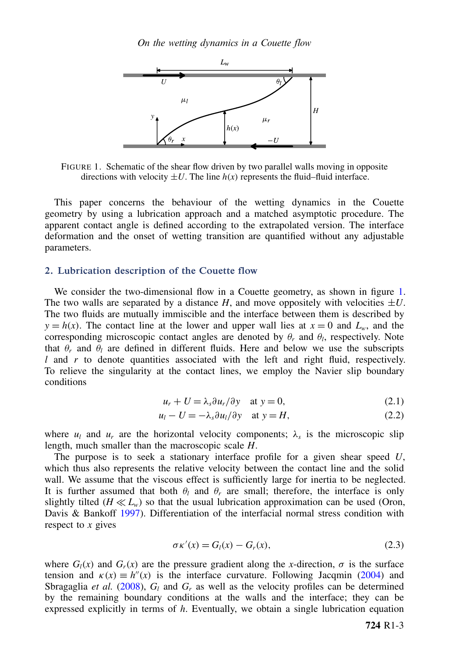*On the wetting dynamics in a Couette flow*



FIGURE 1. Schematic of the shear flow driven by two parallel walls moving in opposite directions with velocity  $\pm U$ . The line  $h(x)$  represents the fluid–fluid interface.

This paper concerns the behaviour of the wetting dynamics in the Couette geometry by using a lubrication approach and a matched asymptotic procedure. The apparent contact angle is defined according to the extrapolated version. The interface deformation and the onset of wetting transition are quantified without any adjustable parameters.

## 2. Lubrication description of the Couette flow

We consider the two-dimensional flow in a Couette geometry, as shown in figure 1. The two walls are separated by a distance  $H$ , and move oppositely with velocities  $\pm U$ . The two fluids are mutually immiscible and the interface between them is described by  $y = h(x)$ . The contact line at the lower and upper wall lies at  $x = 0$  and  $L_w$ , and the corresponding microscopic contact angles are denoted by  $\theta_r$  and  $\theta_l$ , respectively. Note that  $\theta_r$  and  $\theta_l$  are defined in different fluids. Here and below we use the subscripts *l* and *r* to denote quantities associated with the left and right fluid, respectively. To relieve the singularity at the contact lines, we employ the Navier slip boundary conditions

<span id="page-2-0"></span>
$$
u_r + U = \lambda_s \partial u_r / \partial y \quad \text{at } y = 0,
$$
 (2.1)

$$
u_l - U = -\lambda_s \partial u_l / \partial y \quad \text{at } y = H,\tag{2.2}
$$

where  $u_l$  and  $u_r$  are the horizontal velocity components;  $\lambda_s$  is the microscopic slip length, much smaller than the macroscopic scale *H*.

The purpose is to seek a stationary interface profile for a given shear speed *U*, which thus also represents the relative velocity between the contact line and the solid wall. We assume that the viscous effect is sufficiently large for inertia to be neglected. It is further assumed that both  $\theta_l$  and  $\theta_r$  are small; therefore, the interface is only slightly tilted ( $H \ll L_w$ ) so that the usual lubrication approximation can be used (Oron, Davis & Bankoff 1997). Differentiation of the interfacial normal stress condition with respect to *x* gives

$$
\sigma \kappa'(x) = G_l(x) - G_r(x), \qquad (2.3)
$$

where  $G_l(x)$  and  $G_r(x)$  are the pressure gradient along the *x*-direction,  $\sigma$  is the surface tension and  $\kappa(x) \equiv h''(x)$  is the interface curvature. Following Jacqmin (2004) and Sbragaglia *et al.* (2008),  $G_l$  and  $G_r$  as well as the velocity profiles can be determined by the remaining boundary conditions at the walls and the interface; they can be expressed explicitly in terms of *h*. Eventually, we obtain a single lubrication equation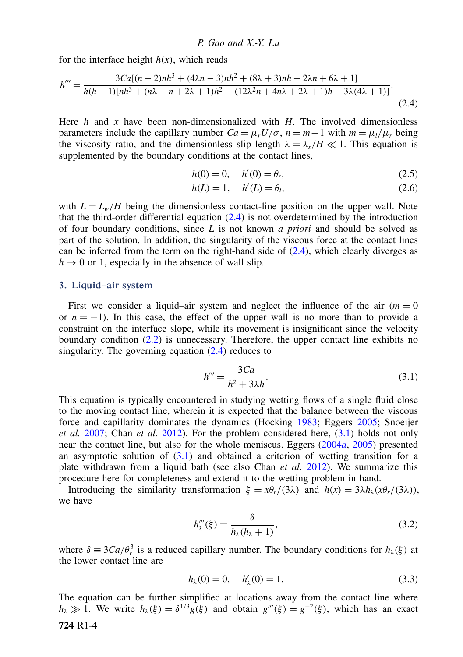for the interface height  $h(x)$ , which reads

$$
h''' = \frac{3Ca[(n+2)nh^3 + (4\lambda n - 3)nh^2 + (8\lambda + 3)nh + 2\lambda n + 6\lambda + 1]}{h(h-1)[nh^3 + (n\lambda - n + 2\lambda + 1)h^2 - (12\lambda^2 n + 4n\lambda + 2\lambda + 1)h - 3\lambda(4\lambda + 1)]}.
$$
\n(2.4)

Here *h* and *x* have been non-dimensionalized with *H*. The involved dimensionless parameters include the capillary number  $Ca = \mu_r U/\sigma$ ,  $n = m - 1$  with  $m = \mu_l/\mu_r$  being the viscosity ratio, and the dimensionless slip length  $\lambda = \lambda_s/H \ll 1$ . This equation is supplemented by the boundary conditions at the contact lines,

<span id="page-3-5"></span><span id="page-3-0"></span>
$$
h(0) = 0, \quad h'(0) = \theta_r,
$$
\n(2.5)

<span id="page-3-4"></span>
$$
h(L) = 1, \quad h'(L) = \theta_l,
$$
\n
$$
(2.6)
$$

with  $L = L_w/H$  being the dimensionless contact-line position on the upper wall. Note that the third-order differential equation [\(2.4\)](#page-3-0) is not overdetermined by the introduction of four boundary conditions, since *L* is not known *a priori* and should be solved as part of the solution. In addition, the singularity of the viscous force at the contact lines can be inferred from the term on the right-hand side of  $(2.4)$ , which clearly diverges as  $h \rightarrow 0$  or 1, especially in the absence of wall slip.

#### 3. Liquid–air system

First we consider a liquid–air system and neglect the influence of the air  $(m = 0)$ or  $n = -1$ ). In this case, the effect of the upper wall is no more than to provide a constraint on the interface slope, while its movement is insignificant since the velocity boundary condition [\(2.2\)](#page-2-0) is unnecessary. Therefore, the upper contact line exhibits no singularity. The governing equation  $(2.4)$  reduces to

<span id="page-3-1"></span>
$$
h''' = \frac{3Ca}{h^2 + 3\lambda h}.\tag{3.1}
$$

This equation is typically encountered in studying wetting flows of a single fluid close to the moving contact line, wherein it is expected that the balance between the viscous force and capillarity dominates the dynamics (Hocking 1983; Eggers 2005; Snoeijer *et al.* 2007; Chan *et al.* 2012). For the problem considered here, [\(3.1\)](#page-3-1) holds not only near the contact line, but also for the whole meniscus. Eggers (2004*a*, 2005) presented an asymptotic solution of  $(3.1)$  and obtained a criterion of wetting transition for a plate withdrawn from a liquid bath (see also Chan *et al.* 2012). We summarize this procedure here for completeness and extend it to the wetting problem in hand.

Introducing the similarity transformation  $\xi = x\theta_r/(3\lambda)$  and  $h(x) = 3\lambda h_\lambda(x\theta_r/(3\lambda))$ , we have

<span id="page-3-2"></span>
$$
h_{\lambda}'''(\xi) = \frac{\delta}{h_{\lambda}(h_{\lambda} + 1)},
$$
\n(3.2)

where  $\delta = 3Ca/\theta_r^3$  is a reduced capillary number. The boundary conditions for  $h_\lambda(\xi)$  at the lower contact line are

<span id="page-3-3"></span>
$$
h_{\lambda}(0) = 0, \quad h'_{\lambda}(0) = 1. \tag{3.3}
$$

The equation can be further simplified at locations away from the contact line where  $h_{\lambda} \gg 1$ . We write  $h_{\lambda}(\xi) = \delta^{1/3} g(\xi)$  and obtain  $g'''(\xi) = g^{-2}(\xi)$ , which has an exact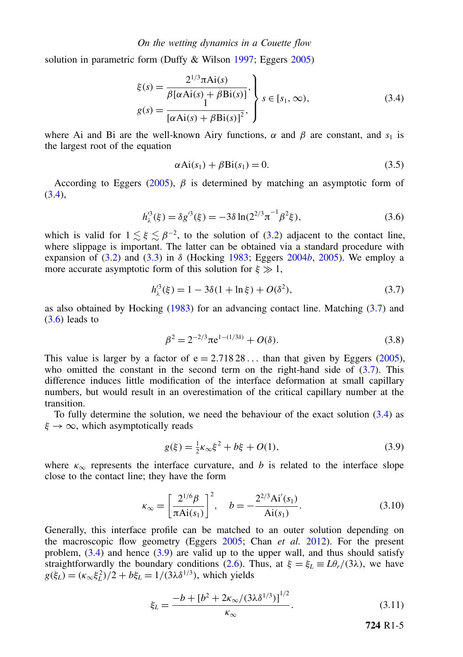#### *On the wetting dynamics in a Couette flow*

solution in parametric form (Duffy & Wilson 1997; Eggers 2005)

$$
\xi(s) = \frac{2^{1/3}\pi \text{Ai}(s)}{\beta[\alpha \text{Ai}(s) + \beta \text{Bi}(s)]},
$$
\n
$$
g(s) = \frac{1}{[\alpha \text{Ai}(s) + \beta \text{Bi}(s)]^2},
$$
\n
$$
s \in [s_1, \infty),
$$
\n(3.4)

where Ai and Bi are the well-known Airy functions,  $\alpha$  and  $\beta$  are constant, and  $s_1$  is the largest root of the equation

<span id="page-4-4"></span><span id="page-4-2"></span><span id="page-4-0"></span>
$$
\alpha Ai(s_1) + \beta Bi(s_1) = 0. \tag{3.5}
$$

According to Eggers (2005),  $\beta$  is determined by matching an asymptotic form of [\(3.4\)](#page-4-0),

$$
h_{\lambda}^{\prime 3}(\xi) = \delta g^{\prime 3}(\xi) = -3\delta \ln(2^{2/3} \pi^{-1} \beta^2 \xi), \tag{3.6}
$$

which is valid for  $1 \lesssim \xi \lesssim \beta^{-2}$ , to the solution of [\(3.2\)](#page-3-2) adjacent to the contact line, where slippage is important. The latter can be obtained via a standard procedure with expansion of  $(3.2)$  and  $(3.3)$  in  $\delta$  (Hocking 1983; Eggers 2004*b*, 2005). We employ a more accurate asymptotic form of this solution for  $\xi \gg 1$ ,

$$
h_{\lambda}^{\prime 3}(\xi) = 1 - 3\delta(1 + \ln \xi) + O(\delta^2), \tag{3.7}
$$

as also obtained by Hocking (1983) for an advancing contact line. Matching [\(3.7\)](#page-4-1) and  $(3.6)$  leads to

<span id="page-4-1"></span>
$$
\beta^2 = 2^{-2/3} \pi e^{1 - (1/3\delta)} + O(\delta). \tag{3.8}
$$

This value is larger by a factor of  $e = 2.71828...$  than that given by Eggers (2005), who omitted the constant in the second term on the right-hand side of  $(3.7)$ . This difference induces little modification of the interface deformation at small capillary numbers, but would result in an overestimation of the critical capillary number at the transition.

To fully determine the solution, we need the behaviour of the exact solution [\(3.4\)](#page-4-0) as  $\xi \rightarrow \infty$ , which asymptotically reads

$$
g(\xi) = \frac{1}{2}\kappa_{\infty}\xi^2 + b\xi + O(1),\tag{3.9}
$$

where  $\kappa_{\infty}$  represents the interface curvature, and *b* is related to the interface slope close to the contact line; they have the form

$$
\kappa_{\infty} = \left[\frac{2^{1/6}\beta}{\pi \text{Ai}(s_1)}\right]^2, \quad b = -\frac{2^{2/3}\text{Ai}'(s_1)}{\text{Ai}(s_1)}.
$$
 (3.10)

Generally, this interface profile can be matched to an outer solution depending on the macroscopic flow geometry (Eggers 2005; Chan *et al.* 2012). For the present problem,  $(3.4)$  and hence  $(3.9)$  are valid up to the upper wall, and thus should satisfy straightforwardly the boundary conditions [\(2.6\)](#page-3-4). Thus, at  $\xi = \xi_L \equiv L\theta_r/(3\lambda)$ , we have  $g(\xi_L) = (\kappa_\infty \xi_L^2)/2 + b\xi_L = 1/(3\lambda \delta^{1/3})$ , which yields

$$
\xi_L = \frac{-b + [b^2 + 2\kappa_\infty/(3\lambda \delta^{1/3})]^{1/2}}{\kappa}.
$$
\n(3.11)

<span id="page-4-5"></span><span id="page-4-3"></span>724 R1-5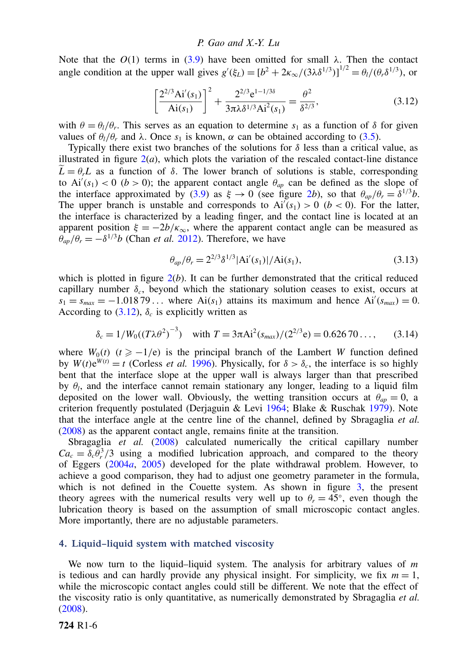Note that the  $O(1)$  terms in [\(3.9\)](#page-4-3) have been omitted for small  $\lambda$ . Then the contact angle condition at the upper wall gives  $g'(\xi_L) = [b^2 + 2\kappa_\infty/(3\lambda \delta^{1/3})]^{1/2} = \theta_l/(\theta_r \delta^{1/3})$ , or

<span id="page-5-0"></span>
$$
\left[\frac{2^{2/3}Ai'(s_1)}{Ai(s_1)}\right]^2 + \frac{2^{2/3}e^{1-1/3\delta}}{3\pi\lambda\delta^{1/3}Ai^2(s_1)} = \frac{\theta^2}{\delta^{2/3}},
$$
\n(3.12)

with  $\theta = \theta_l/\theta_r$ . This serves as an equation to determine  $s_1$  as a function of  $\delta$  for given values of  $\theta_l/\theta_r$  and λ. Once  $s_1$  is known, α can be obtained according to [\(3.5\)](#page-4-4).

Typically there exist two branches of the solutions for  $\delta$  less than a critical value, as illustrated in figure  $2(a)$ , which plots the variation of the rescaled contact-line distance  $\hat{L} = \theta_r L$  as a function of  $\delta$ . The lower branch of solutions is stable, corresponding to  $Ai'(s_1) < 0$  (*b* > 0); the apparent contact angle  $\theta_{ap}$  can be defined as the slope of the interface approximated by [\(3.9\)](#page-4-3) as  $\xi \to 0$  (see figure 2*b*), so that  $\theta_{ap}/\theta_r = \delta^{1/3}b$ . The upper branch is unstable and corresponds to  $Ai'(s_1) > 0$  ( $b < 0$ ). For the latter, the interface is characterized by a leading finger, and the contact line is located at an apparent position  $\xi = -2b/\kappa_{\infty}$ , where the apparent contact angle can be measured as  $\theta_{ap}/\theta_r = -\delta^{1/3}b$  (Chan *et al.* 2012). Therefore, we have

$$
\theta_{ap}/\theta_r = 2^{2/3} \delta^{1/3} |\text{Ai}'(s_1)| / \text{Ai}(s_1), \tag{3.13}
$$

which is plotted in figure  $2(b)$ . It can be further demonstrated that the critical reduced capillary number  $\delta_c$ , beyond which the stationary solution ceases to exist, occurs at  $s_1 = s_{max} = -1.01879...$  where Ai( $s_1$ ) attains its maximum and hence Ai'( $s_{max}$ ) = 0. According to  $(3.12)$ ,  $\delta_c$  is explicitly written as

$$
\delta_c = 1/W_0((T\lambda\theta^2)^{-3}) \quad \text{with } T = 3\pi\text{Ai}^2(s_{max})/(2^{2/3}\text{e}) = 0.62670\dots, \tag{3.14}
$$

where  $W_0(t)$  ( $t \ge -1/e$ ) is the principal branch of the Lambert *W* function defined by  $W(t)e^{W(t)} = t$  (Corless *et al.* 1996). Physically, for  $\delta > \delta_c$ , the interface is so highly bent that the interface slope at the upper wall is always larger than that prescribed by  $\theta_l$ , and the interface cannot remain stationary any longer, leading to a liquid film deposited on the lower wall. Obviously, the wetting transition occurs at  $\theta_{an} = 0$ , a criterion frequently postulated (Derjaguin & Levi 1964; Blake & Ruschak 1979). Note that the interface angle at the centre line of the channel, defined by Sbragaglia *et al.* (2008) as the apparent contact angle, remains finite at the transition.

Sbragaglia *et al.* (2008) calculated numerically the critical capillary number  $Ca_c = \delta_c \theta_r^3/3$  using a modified lubrication approach, and compared to the theory of Eggers (2004*a*, 2005) developed for the plate withdrawal problem. However, to achieve a good comparison, they had to adjust one geometry parameter in the formula, which is not defined in the Couette system. As shown in figure 3, the present theory agrees with the numerical results very well up to  $\theta_r = 45^\circ$ , even though the lubrication theory is based on the assumption of small microscopic contact angles. More importantly, there are no adjustable parameters.

## 4. Liquid–liquid system with matched viscosity

We now turn to the liquid–liquid system. The analysis for arbitrary values of *m* is tedious and can hardly provide any physical insight. For simplicity, we fix  $m = 1$ , while the microscopic contact angles could still be different. We note that the effect of the viscosity ratio is only quantitative, as numerically demonstrated by Sbragaglia *et al.* (2008).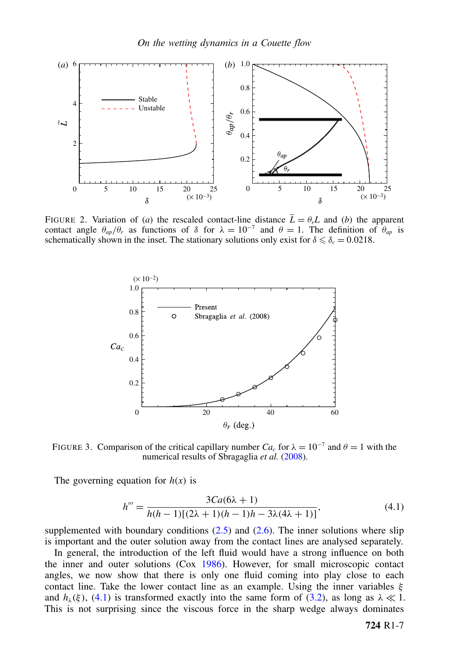

FIGURE 2. Variation of (*a*) the rescaled contact-line distance  $\tilde{L} = \theta_r L$  and (*b*) the apparent contact angle  $\theta_{ap}/\theta_r$  as functions of  $\delta$  for  $\lambda = 10^{-7}$  and  $\theta = 1$ . The definition of  $\theta_{ap}$  is schematically shown in the inset. The stationary solutions only exist for  $\delta \leq \delta_c = 0.0218$ .



FIGURE 3. Comparison of the critical capillary number  $Ca_c$  for  $\lambda = 10^{-7}$  and  $\theta = 1$  with the numerical results of Sbragaglia *et al.* (2008).

The governing equation for  $h(x)$  is

<span id="page-6-0"></span>
$$
h''' = \frac{3Ca(6\lambda + 1)}{h(h-1)[(2\lambda + 1)(h-1)h - 3\lambda(4\lambda + 1)]},
$$
\n(4.1)

supplemented with boundary conditions  $(2.5)$  and  $(2.6)$ . The inner solutions where slip is important and the outer solution away from the contact lines are analysed separately.

In general, the introduction of the left fluid would have a strong influence on both the inner and outer solutions (Cox 1986). However, for small microscopic contact angles, we now show that there is only one fluid coming into play close to each contact line. Take the lower contact line as an example. Using the inner variables  $\xi$ and  $h_{\lambda}(\xi)$ , [\(4.1\)](#page-6-0) is transformed exactly into the same form of [\(3.2\)](#page-3-2), as long as  $\lambda \ll 1$ . This is not surprising since the viscous force in the sharp wedge always dominates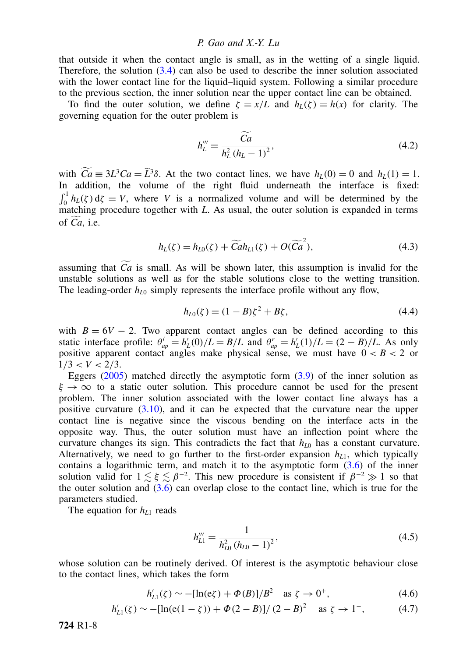that outside it when the contact angle is small, as in the wetting of a single liquid. Therefore, the solution  $(3.4)$  can also be used to describe the inner solution associated with the lower contact line for the liquid–liquid system. Following a similar procedure to the previous section, the inner solution near the upper contact line can be obtained.

To find the outer solution, we define  $\zeta = x/L$  and  $h_L(\zeta) = h(x)$  for clarity. The governing equation for the outer problem is

<span id="page-7-1"></span>
$$
h_L''' = \frac{\widetilde{Ca}}{h_L^2 (h_L - 1)^2},
$$
\n(4.2)

with  $Ca \equiv 3L^3Ca = \tilde{L}^3\delta$ . At the two contact lines, we have  $h_L(0) = 0$  and  $h_L(1) = 1$ . In addition, the volume of the right fluid underneath the interface is fixed:  $\int_0^1 h_L(\zeta) d\zeta = V$ , where *V* is a normalized volume and will be determined by the matching procedure together with *L*. As usual, the outer solution is expanded in terms of  $Ca$ , i.e.

$$
h_L(\zeta) = h_{L0}(\zeta) + \widetilde{C}ah_{L1}(\zeta) + O(\widetilde{C}a^2), \tag{4.3}
$$

assuming that  $\widetilde{Ca}$  is small. As will be shown later, this assumption is invalid for the unstable solutions as well as for the stable solutions close to the wetting transition. The leading-order  $h_{L0}$  simply represents the interface profile without any flow,

<span id="page-7-0"></span>
$$
h_{L0}(\zeta) = (1 - B)\zeta^2 + B\zeta,\tag{4.4}
$$

with  $B = 6V - 2$ . Two apparent contact angles can be defined according to this static interface profile:  $\theta_{ap}^l = h'_L(0)/L = B/L$  and  $\theta_{ap}^r = h'_L(1)/L = (2 - B)/L$ . As only positive apparent contact angles make physical sense, we must have  $0 < B < 2$  or  $1/3 < V < 2/3$ .

Eggers  $(2005)$  matched directly the asymptotic form  $(3.9)$  of the inner solution as  $\xi \to \infty$  to a static outer solution. This procedure cannot be used for the present problem. The inner solution associated with the lower contact line always has a positive curvature [\(3.10\)](#page-4-5), and it can be expected that the curvature near the upper contact line is negative since the viscous bending on the interface acts in the opposite way. Thus, the outer solution must have an inflection point where the curvature changes its sign. This contradicts the fact that  $h_{L0}$  has a constant curvature. Alternatively, we need to go further to the first-order expansion  $h_{L1}$ , which typically contains a logarithmic term, and match it to the asymptotic form  $(3.6)$  of the inner solution valid for  $1 \lesssim \xi \lesssim \beta^{-2}$ . This new procedure is consistent if  $\beta^{-2} \gg 1$  so that the outer solution and  $(3.6)$  can overlap close to the contact line, which is true for the parameters studied.

The equation for *hL*<sup>1</sup> reads

$$
h_{L1}''' = \frac{1}{h_{L0}^2 (h_{L0} - 1)^2},\tag{4.5}
$$

whose solution can be routinely derived. Of interest is the asymptotic behaviour close to the contact lines, which takes the form

$$
h'_{L1}(\zeta) \sim -[\ln(e\zeta) + \Phi(B)]/B^2
$$
 as  $\zeta \to 0^+$ , (4.6)

$$
h'_{L1}(\zeta) \sim -[\ln(e(1-\zeta)) + \Phi(2-B)]/(2-B)^2 \quad \text{as } \zeta \to 1^-, \tag{4.7}
$$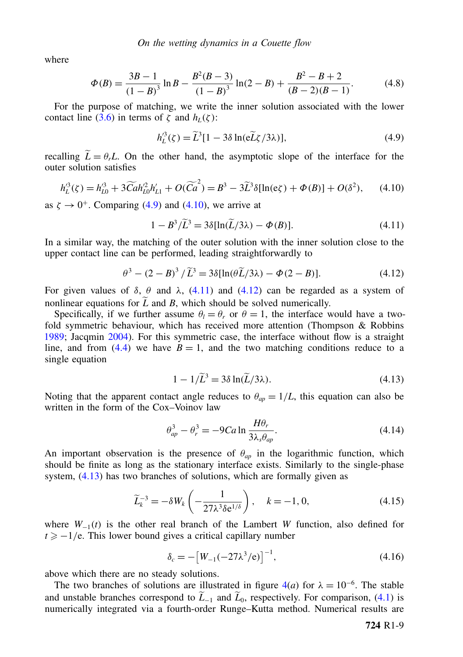where

$$
\Phi(B) = \frac{3B - 1}{(1 - B)^3} \ln B - \frac{B^2(B - 3)}{(1 - B)^3} \ln(2 - B) + \frac{B^2 - B + 2}{(B - 2)(B - 1)}.
$$
(4.8)

For the purpose of matching, we write the inner solution associated with the lower contact line [\(3.6\)](#page-4-2) in terms of  $\zeta$  and  $h_L(\zeta)$ :

<span id="page-8-1"></span><span id="page-8-0"></span>
$$
h_L^{\prime 3}(\zeta) = \widetilde{L}^3 [1 - 3\delta \ln(\tilde{eL}\zeta/3\lambda)],\tag{4.9}
$$

recalling  $\tilde{L} = \theta_r L$ . On the other hand, the asymptotic slope of the interface for the outer solution satisfies

$$
h_L^{\prime 3}(\zeta) = h_{L0}^{\prime 3} + 3\widetilde{C}ah_{L0}^{\prime 2}h_{L1}^{\prime} + O(\widetilde{C}a^2) = B^3 - 3\widetilde{L}^3\delta[\ln(\mathrm{e}\zeta) + \Phi(B)] + O(\delta^2),\tag{4.10}
$$

as  $\zeta \rightarrow 0^+$ . Comparing [\(4.9\)](#page-8-0) and [\(4.10\)](#page-8-1), we arrive at

<span id="page-8-2"></span>
$$
1 - B^3 / \tilde{L}^3 = 3\delta [\ln(\tilde{L}/3\lambda) - \Phi(B)].
$$
\n(4.11)

In a similar way, the matching of the outer solution with the inner solution close to the upper contact line can be performed, leading straightforwardly to

$$
\theta^3 - (2 - B)^3 / \widetilde{L}^3 = 3\delta[\ln(\theta \widetilde{L}/3\lambda) - \Phi(2 - B)].
$$
\n(4.12)

For given values of  $\delta$ ,  $\theta$  and  $\lambda$ , [\(4.11\)](#page-8-2) and [\(4.12\)](#page-8-3) can be regarded as a system of nonlinear equations for  $\tilde{L}$  and *B*, which should be solved numerically.

Specifically, if we further assume  $\theta_l = \theta_r$  or  $\theta = 1$ , the interface would have a twofold symmetric behaviour, which has received more attention (Thompson & Robbins 1989; Jacqmin 2004). For this symmetric case, the interface without flow is a straight line, and from [\(4.4\)](#page-7-0) we have  $B = 1$ , and the two matching conditions reduce to a single equation

<span id="page-8-4"></span><span id="page-8-3"></span>
$$
1 - 1/\widetilde{L}^3 = 3\delta \ln(\widetilde{L}/3\lambda). \tag{4.13}
$$

Noting that the apparent contact angle reduces to  $\theta_{ap} = 1/L$ , this equation can also be written in the form of the Cox–Voinov law

$$
\theta_{ap}^3 - \theta_r^3 = -9Ca \ln \frac{H\theta_r}{3\lambda_s \theta_{ap}}.\tag{4.14}
$$

An important observation is the presence of  $\theta_{ap}$  in the logarithmic function, which should be finite as long as the stationary interface exists. Similarly to the single-phase system,  $(4.13)$  has two branches of solutions, which are formally given as

$$
\widetilde{L}_{k}^{-3} = -\delta W_{k} \left( -\frac{1}{27\lambda^{3} \delta e^{1/\delta}} \right), \quad k = -1, 0,
$$
\n(4.15)

where *W*−<sup>1</sup>(*t*) is the other real branch of the Lambert *W* function, also defined for  $t \ge -1/e$ . This lower bound gives a critical capillary number

<span id="page-8-6"></span><span id="page-8-5"></span>
$$
\delta_c = -[W_{-1}(-27\lambda^3/e)]^{-1},\tag{4.16}
$$

above which there are no steady solutions.

The two branches of solutions are illustrated in figure  $4(a)$  for  $\lambda = 10^{-6}$ . The stable and unstable branches correspond to  $\widetilde{L}_{-1}$  and  $\widetilde{L}_0$ , respectively. For comparison, [\(4.1\)](#page-6-0) is numerically integrated via a fourth-order Runge–Kutta method. Numerical results are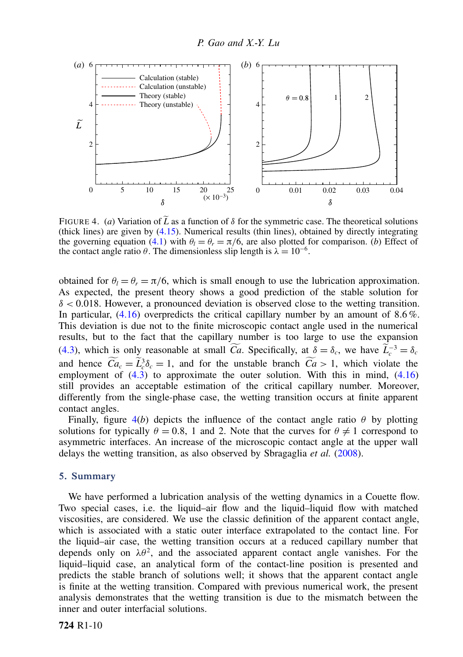

FIGURE 4. (*a*) Variation of  $\tilde{L}$  as a function of  $\delta$  for the symmetric case. The theoretical solutions (thick lines) are given by [\(4.15\)](#page-8-5). Numerical results (thin lines), obtained by directly integrating the governing equation [\(4.1\)](#page-6-0) with  $\theta_l = \theta_r = \pi/6$ , are also plotted for comparison. (*b*) Effect of the contact angle ratio  $\theta$ . The dimensionless slip length is  $\lambda = 10^{-6}$ .

obtained for  $\theta_l = \theta_r = \pi/6$ , which is small enough to use the lubrication approximation. As expected, the present theory shows a good prediction of the stable solution for  $\delta$  < 0.018. However, a pronounced deviation is observed close to the wetting transition. In particular,  $(4.16)$  overpredicts the critical capillary number by an amount of 8.6%. This deviation is due not to the finite microscopic contact angle used in the numerical results, but to the fact that the capillary number is too large to use the expansion [\(4.3\)](#page-7-1), which is only reasonable at small *Ca*. Specifically, at  $\delta = \delta_c$ , we have  $\widetilde{L}_c^{-3} = \delta_c$ and hence  $Ca_c = \tilde{L}_c^3 \delta_c = 1$ , and for the unstable branch  $Ca > 1$ , which violate the complex state of  $(A, B)$  to approximate the outer solution. With this in mind,  $(A, B)$ employment of  $(4.3)$  to approximate the outer solution. With this in mind,  $(4.16)$ still provides an acceptable estimation of the critical capillary number. Moreover, differently from the single-phase case, the wetting transition occurs at finite apparent contact angles.

Finally, figure  $4(b)$  depicts the influence of the contact angle ratio  $\theta$  by plotting solutions for typically  $\theta = 0.8$ , 1 and 2. Note that the curves for  $\theta \neq 1$  correspond to asymmetric interfaces. An increase of the microscopic contact angle at the upper wall delays the wetting transition, as also observed by Sbragaglia *et al.* (2008).

# 5. Summary

We have performed a lubrication analysis of the wetting dynamics in a Couette flow. Two special cases, i.e. the liquid–air flow and the liquid–liquid flow with matched viscosities, are considered. We use the classic definition of the apparent contact angle, which is associated with a static outer interface extrapolated to the contact line. For the liquid–air case, the wetting transition occurs at a reduced capillary number that depends only on  $\lambda\theta^2$ , and the associated apparent contact angle vanishes. For the liquid–liquid case, an analytical form of the contact-line position is presented and predicts the stable branch of solutions well; it shows that the apparent contact angle is finite at the wetting transition. Compared with previous numerical work, the present analysis demonstrates that the wetting transition is due to the mismatch between the inner and outer interfacial solutions.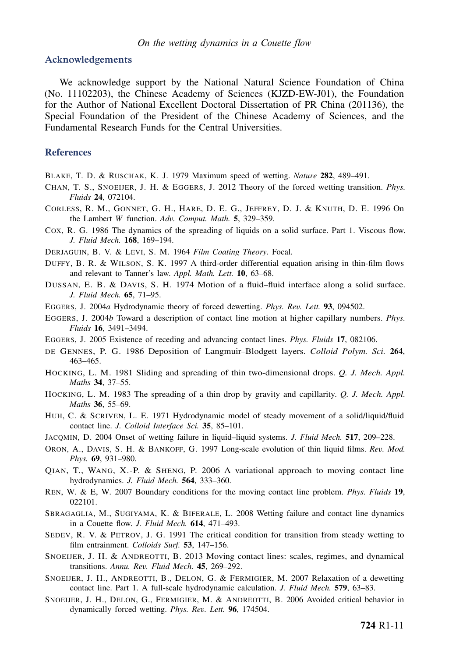#### Acknowledgements

We acknowledge support by the National Natural Science Foundation of China (No. 11102203), the Chinese Academy of Sciences (KJZD-EW-J01), the Foundation for the Author of National Excellent Doctoral Dissertation of PR China (201136), the Special Foundation of the President of the Chinese Academy of Sciences, and the Fundamental Research Funds for the Central Universities.

# **References**

- BLAKE, T. D. & RUSCHAK, K. J. 1979 Maximum speed of wetting. *Nature* 282, 489–491.
- CHAN, T. S., SNOEIJER, J. H. & EGGERS, J. 2012 Theory of the forced wetting transition. *Phys. Fluids* 24, 072104.
- CORLESS, R. M., GONNET, G. H., HARE, D. E. G., JEFFREY, D. J. & KNUTH, D. E. 1996 On the Lambert *W* function. *Adv. Comput. Math.* 5, 329–359.
- COX, R. G. 1986 The dynamics of the spreading of liquids on a solid surface. Part 1. Viscous flow. *J. Fluid Mech.* 168, 169–194.
- DERJAGUIN, B. V. & LEVI, S. M. 1964 *Film Coating Theory*. Focal.
- DUFFY, B. R. & WILSON, S. K. 1997 A third-order differential equation arising in thin-film flows and relevant to Tanner's law. *Appl. Math. Lett.* 10, 63–68.
- DUSSAN, E. B. & DAVIS, S. H. 1974 Motion of a fluid–fluid interface along a solid surface. *J. Fluid Mech.* 65, 71–95.
- EGGERS, J. 2004*a* Hydrodynamic theory of forced dewetting. *Phys. Rev. Lett.* 93, 094502.
- EGGERS, J. 2004*b* Toward a description of contact line motion at higher capillary numbers. *Phys. Fluids* 16, 3491–3494.
- EGGERS, J. 2005 Existence of receding and advancing contact lines. *Phys. Fluids* 17, 082106.
- DE GENNES, P. G. 1986 Deposition of Langmuir–Blodgett layers. *Colloid Polym. Sci.* 264, 463–465.
- HOCKING, L. M. 1981 Sliding and spreading of thin two-dimensional drops. *Q. J. Mech. Appl. Maths* 34, 37–55.
- HOCKING, L. M. 1983 The spreading of a thin drop by gravity and capillarity. *Q. J. Mech. Appl. Maths* 36, 55–69.
- HUH, C. & SCRIVEN, L. E. 1971 Hydrodynamic model of steady movement of a solid/liquid/fluid contact line. *J. Colloid Interface Sci.* 35, 85–101.
- JACQMIN, D. 2004 Onset of wetting failure in liquid–liquid systems. *J. Fluid Mech.* 517, 209–228.
- ORON, A., DAVIS, S. H. & BANKOFF, G. 1997 Long-scale evolution of thin liquid films. *Rev. Mod. Phys.* 69, 931–980.
- QIAN, T., WANG, X.-P. & SHENG, P. 2006 A variational approach to moving contact line hydrodynamics. *J. Fluid Mech.* 564, 333–360.
- REN, W. & E, W. 2007 Boundary conditions for the moving contact line problem. *Phys. Fluids* 19, 022101.
- SBRAGAGLIA, M., SUGIYAMA, K. & BIFERALE, L. 2008 Wetting failure and contact line dynamics in a Couette flow. *J. Fluid Mech.* 614, 471–493.
- SEDEV, R. V. & PETROV, J. G. 1991 The critical condition for transition from steady wetting to film entrainment. *Colloids Surf.* 53, 147–156.
- SNOEIJER, J. H. & ANDREOTTI, B. 2013 Moving contact lines: scales, regimes, and dynamical transitions. *Annu. Rev. Fluid Mech.* 45, 269–292.
- SNOEIJER, J. H., ANDREOTTI, B., DELON, G. & FERMIGIER, M. 2007 Relaxation of a dewetting contact line. Part 1. A full-scale hydrodynamic calculation. *J. Fluid Mech.* 579, 63–83.
- SNOEIJER, J. H., DELON, G., FERMIGIER, M. & ANDREOTTI, B. 2006 Avoided critical behavior in dynamically forced wetting. *Phys. Rev. Lett.* 96, 174504.